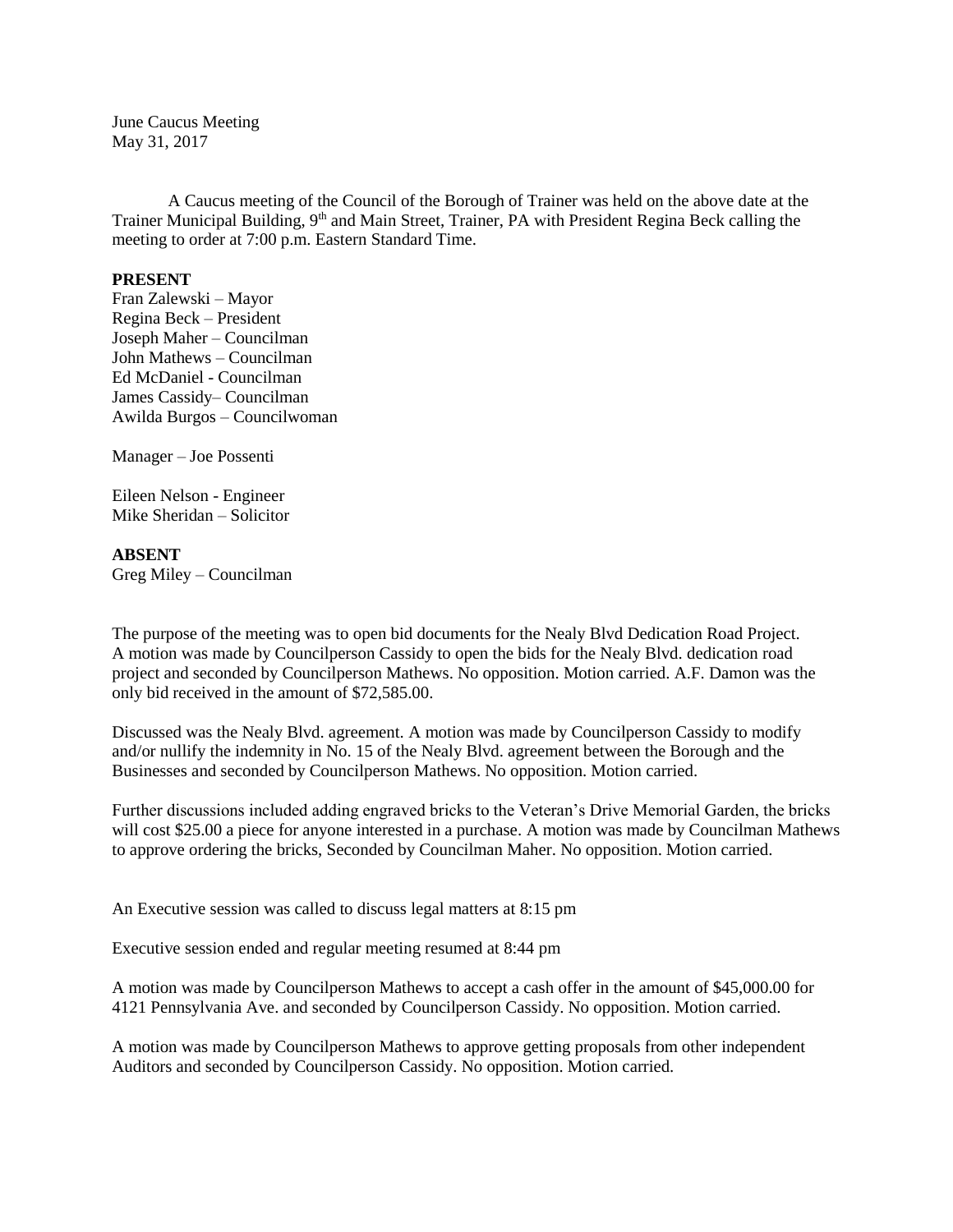June Caucus Meeting May 31, 2017

A Caucus meeting of the Council of the Borough of Trainer was held on the above date at the Trainer Municipal Building, 9<sup>th</sup> and Main Street, Trainer, PA with President Regina Beck calling the meeting to order at 7:00 p.m. Eastern Standard Time.

## **PRESENT**

Fran Zalewski – Mayor Regina Beck – President Joseph Maher – Councilman John Mathews – Councilman Ed McDaniel - Councilman James Cassidy– Councilman Awilda Burgos – Councilwoman

Manager – Joe Possenti

Eileen Nelson - Engineer Mike Sheridan – Solicitor

## **ABSENT**

Greg Miley – Councilman

The purpose of the meeting was to open bid documents for the Nealy Blvd Dedication Road Project. A motion was made by Councilperson Cassidy to open the bids for the Nealy Blvd. dedication road project and seconded by Councilperson Mathews. No opposition. Motion carried. A.F. Damon was the only bid received in the amount of \$72,585.00.

Discussed was the Nealy Blvd. agreement. A motion was made by Councilperson Cassidy to modify and/or nullify the indemnity in No. 15 of the Nealy Blvd. agreement between the Borough and the Businesses and seconded by Councilperson Mathews. No opposition. Motion carried.

Further discussions included adding engraved bricks to the Veteran's Drive Memorial Garden, the bricks will cost \$25.00 a piece for anyone interested in a purchase. A motion was made by Councilman Mathews to approve ordering the bricks, Seconded by Councilman Maher. No opposition. Motion carried.

An Executive session was called to discuss legal matters at 8:15 pm

Executive session ended and regular meeting resumed at 8:44 pm

A motion was made by Councilperson Mathews to accept a cash offer in the amount of \$45,000.00 for 4121 Pennsylvania Ave. and seconded by Councilperson Cassidy. No opposition. Motion carried.

A motion was made by Councilperson Mathews to approve getting proposals from other independent Auditors and seconded by Councilperson Cassidy. No opposition. Motion carried.